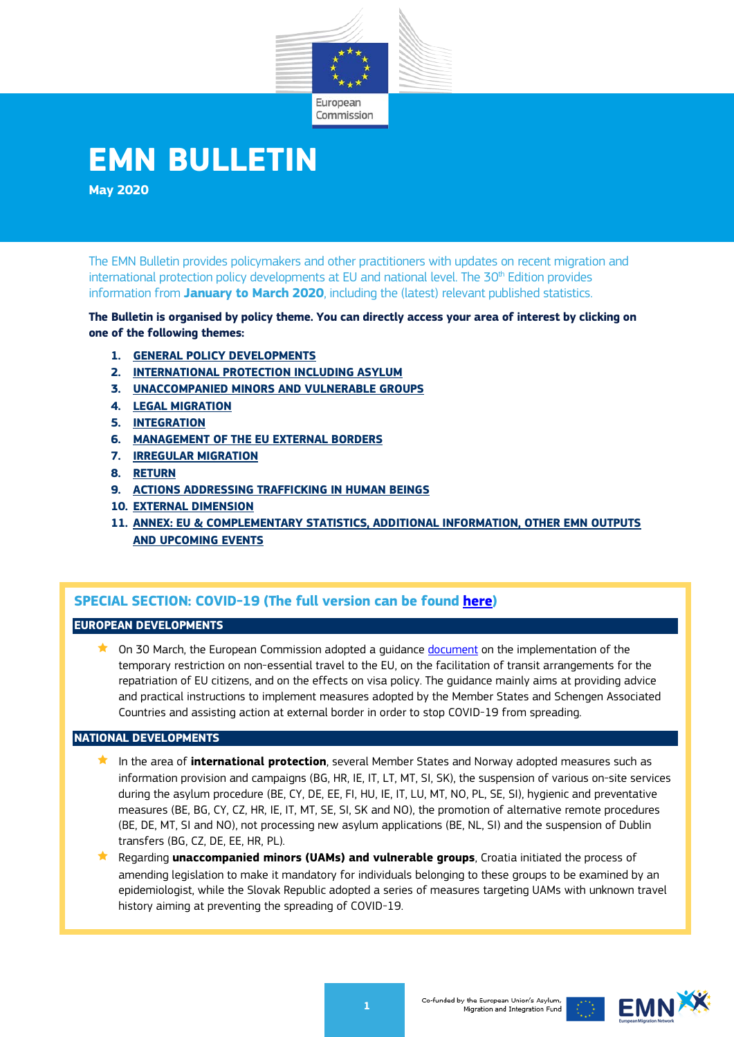

# **EMN BULLETIN**

**May 2020**

The EMN Bulletin provides policymakers and other practitioners with updates on recent migration and international protection policy developments at EU and national level. The  $30<sup>th</sup>$  Edition provides information from **January to March 2020**, including the (latest) relevant published statistics.

**The Bulletin is organised by policy theme. You can directly access your area of interest by clicking on one of the following themes:** 

- **1. [GENERAL POLICY DEVELOPMENTS](#page-1-0)**
- **2. [INTERNATIONAL PROTECTION INCLUDING ASYLUM](#page-2-0)**
- **3. [UNACCOMPANIED MINORS AND VULNERABLE GROUPS](#page-3-0)**
- **4. [LEGAL MIGRATION](#page-4-0)**
- **5. [INTEGRATION](#page-5-0)**
- **6. [MANAGEMENT OF THE EU EXTERNAL BORDERS](#page-6-0)**
- **7. [IRREGULAR MIGRATION](#page-6-1)**
- **8. [RETURN](#page-7-0)**
- **9. [ACTIONS ADDRESSING TRAFFICKING IN HUMAN BEINGS](#page-7-1)**
- **10. [EXTERNAL DIMENSION](#page-8-0)**
- **11. [ANNEX: EU & COMPLEMENTARY STATISTICS, ADDITIONAL INFORMATION, OTHER EMN OUTPUTS](#page-9-0)  [AND UPCOMING EVENTS](#page-9-0)**

## **SPECIAL SECTION: COVID-19 (The full version can be found [here\)](https://ec.europa.eu/home-affairs/what-we-do/networks/emn-bulletin_en)**

#### **EUROPEAN DEVELOPMENTS**

 $\star$  On 30 March, the European Commission adopted a quidance [document](https://ec.europa.eu/home-affairs/sites/homeaffairs/files/what-we-do/policies/european-agenda-migration/20200330_c-2020-2050-report_en.pdf) on the implementation of the temporary restriction on non-essential travel to the EU, on the facilitation of transit arrangements for the repatriation of EU citizens, and on the effects on visa policy. The guidance mainly aims at providing advice and practical instructions to implement measures adopted by the Member States and Schengen Associated Countries and assisting action at external border in order to stop COVID-19 from spreading.

#### **NATIONAL DEVELOPMENTS**

- In the area of **international protection**, several Member States and Norway adopted measures such as information provision and campaigns (BG, HR, IE, IT, LT, MT, SI, SK), the suspension of various on-site services during the asylum procedure (BE, CY, DE, EE, FI, HU, IE, IT, LU, MT, NO, PL, SE, SI), hygienic and preventative measures (BE, BG, CY, CZ, HR, IE, IT, MT, SE, SI, SK and NO), the promotion of alternative remote procedures (BE, DE, MT, SI and NO), not processing new asylum applications (BE, NL, SI) and the suspension of Dublin transfers (BG, CZ, DE, EE, HR, PL).
- Regarding **unaccompanied minors (UAMs) and vulnerable groups**, Croatia initiated the process of amending legislation to make it mandatory for individuals belonging to these groups to be examined by an epidemiologist, while the Slovak Republic adopted a series of measures targeting UAMs with unknown travel history aiming at preventing the spreading of COVID-19.

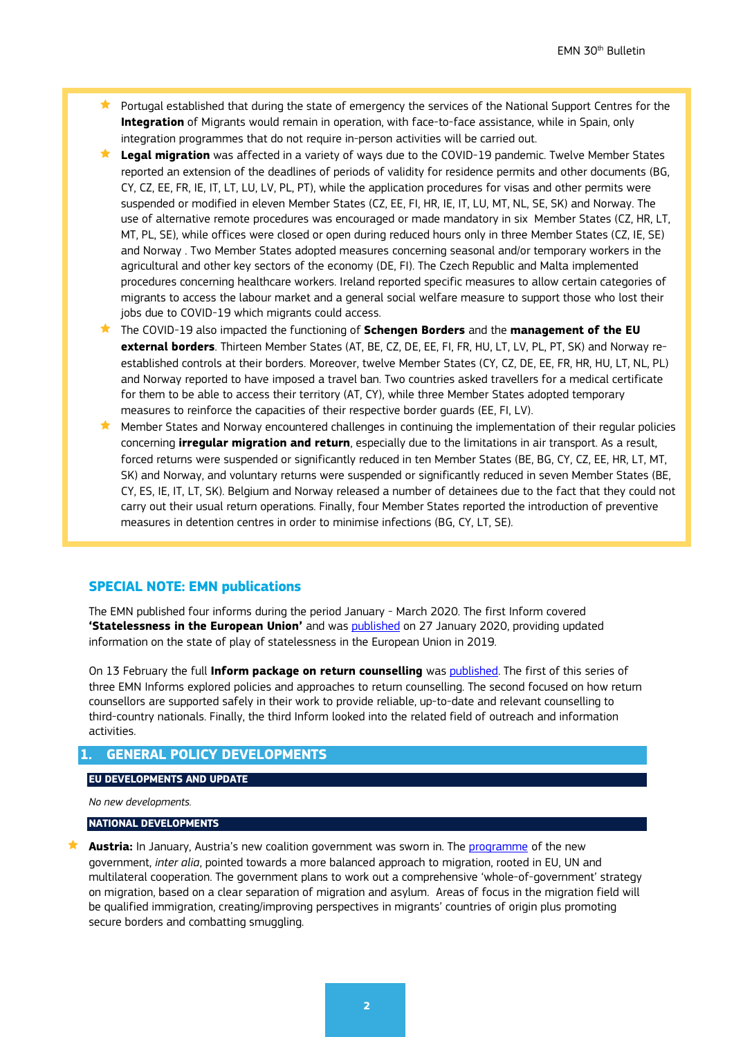- **Portugal established that during the state of emergency the services of the National Support Centres for the Integration** of Migrants would remain in operation, with face-to-face assistance, while in Spain, only integration programmes that do not require in-person activities will be carried out.
- **Legal migration** was affected in a variety of ways due to the COVID-19 pandemic. Twelve Member States reported an extension of the deadlines of periods of validity for residence permits and other documents (BG, CY, CZ, EE, FR, IE, IT, LT, LU, LV, PL, PT), while the application procedures for visas and other permits were suspended or modified in eleven Member States (CZ, EE, FI, HR, IE, IT, LU, MT, NL, SE, SK) and Norway. The use of alternative remote procedures was encouraged or made mandatory in six Member States (CZ, HR, LT, MT, PL, SE), while offices were closed or open during reduced hours only in three Member States (CZ, IE, SE) and Norway . Two Member States adopted measures concerning seasonal and/or temporary workers in the agricultural and other key sectors of the economy (DE, FI). The Czech Republic and Malta implemented procedures concerning healthcare workers. Ireland reported specific measures to allow certain categories of migrants to access the labour market and a general social welfare measure to support those who lost their jobs due to COVID-19 which migrants could access.
- The COVID-19 also impacted the functioning of **Schengen Borders** and the **management of the EU external borders**. Thirteen Member States (AT, BE, CZ, DE, EE, FI, FR, HU, LT, LV, PL, PT, SK) and Norway reestablished controls at their borders. Moreover, twelve Member States (CY, CZ, DE, EE, FR, HR, HU, LT, NL, PL) and Norway reported to have imposed a travel ban. Two countries asked travellers for a medical certificate for them to be able to access their territory (AT, CY), while three Member States adopted temporary measures to reinforce the capacities of their respective border guards (EE, FI, LV).
- Member States and Norway encountered challenges in continuing the implementation of their regular policies concerning **irregular migration and return**, especially due to the limitations in air transport. As a result, forced returns were suspended or significantly reduced in ten Member States (BE, BG, CY, CZ, EE, HR, LT, MT, SK) and Norway, and voluntary returns were suspended or significantly reduced in seven Member States (BE, CY, ES, IE, IT, LT, SK). Belgium and Norway released a number of detainees due to the fact that they could not carry out their usual return operations. Finally, four Member States reported the introduction of preventive measures in detention centres in order to minimise infections (BG, CY, LT, SE).

#### **SPECIAL NOTE: EMN publications**

The EMN published four informs during the period January - March 2020. The first Inform covered **'Statelessness in the European Union'** and was [published](https://ec.europa.eu/home-affairs/sites/homeaffairs/files/00_eu_inform_statelessness_en.pdf) on 27 January 2020, providing updated information on the state of play of statelessness in the European Union in 2019.

On 13 February the full **Inform package on return counselling** was [published.](https://ec.europa.eu/home-affairs/content/emn-inform-package-return-counselling_en) The first of this series of three EMN Informs explored policies and approaches to return counselling. The second focused on how return counsellors are supported safely in their work to provide reliable, up-to-date and relevant counselling to third-country nationals. Finally, the third Inform looked into the related field of outreach and information activities.

#### <span id="page-1-0"></span>**1. GENERAL POLICY DEVELOPMENTS**

#### **EU DEVELOPMENTS AND UPDATE**

*No new developments.*

#### **NATIONAL DEVELOPMENTS**

 **Austria:** In January, Austria's new coalition government was sworn in. The [programme](https://www.dieneuevolkspartei.at/Download/Regierungsprogramm_2020.pdf) of the new government, *inter alia*, pointed towards a more balanced approach to migration, rooted in EU, UN and multilateral cooperation. The government plans to work out a comprehensive 'whole-of-government' strategy on migration, based on a clear separation of migration and asylum. Areas of focus in the migration field will be qualified immigration, creating/improving perspectives in migrants' countries of origin plus promoting secure borders and combatting smuggling.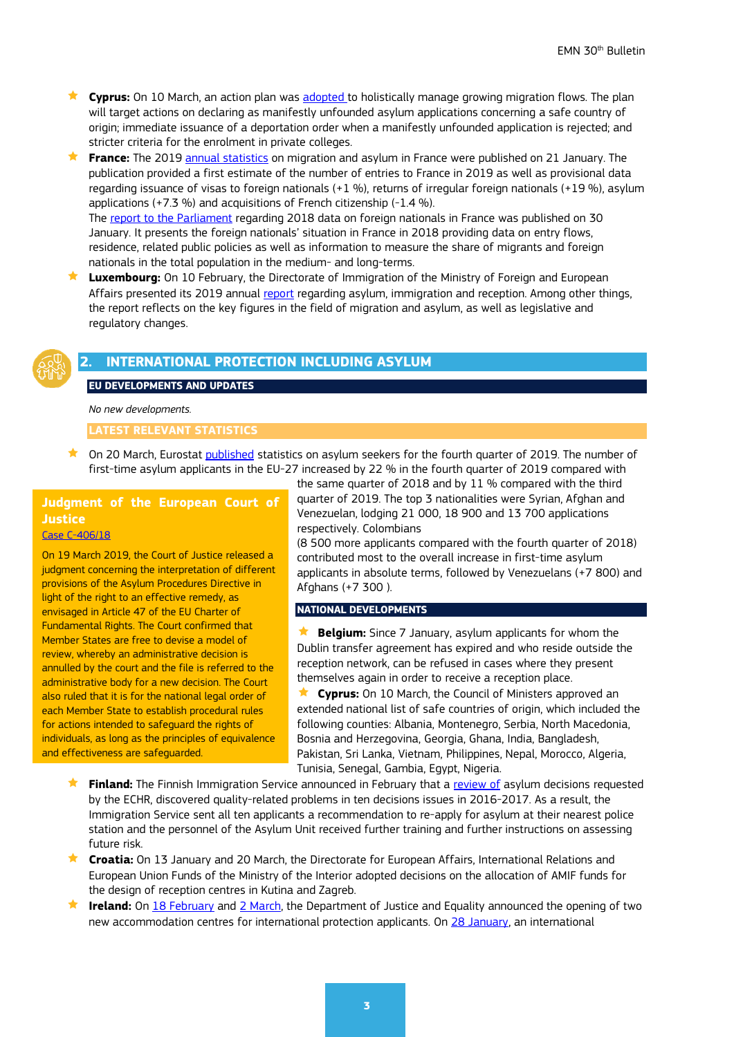- **★ Cyprus:** On 10 March, an action plan was [adopted](https://www.pio.gov.cy/en/press-releases-article.html?id=12571#flat) to holistically manage growing migration flows. The plan will target actions on declaring as manifestly unfounded asylum applications concerning a safe country of origin; immediate issuance of a deportation order when a manifestly unfounded application is rejected; and stricter criteria for the enrolment in private colleges.
- **France:** The 2019 [annual statistics](https://www.immigration.interieur.gouv.fr/fr/Info-ressources/Actualites/Communiques/Publication-des-Statistiques-annuelles-en-matiere-d-immigration-d-asile-et-d-acquisition-de-la-nationalite-francaise) on migration and asylum in France were published on 21 January. The publication provided a first estimate of the number of entries to France in 2019 as well as provisional data regarding issuance of visas to foreign nationals (+1 %), returns of irregular foreign nationals (+19 %), asylum applications  $(+7.3\%)$  and acquisitions of French citizenship  $(-1.4\%)$ . The [report to the Parliament](https://www.immigration.interieur.gouv.fr/fr/Info-ressources/Actualites/Focus/Les-etrangers-en-France-Rapport-au-Parlement-sur-les-donnees-de-l-annee-2018) regarding 2018 data on foreign nationals in France was published on 30 January. It presents the foreign nationals' situation in France in 2018 providing data on entry flows, residence, related public policies as well as information to measure the share of migrants and foreign nationals in the total population in the medium- and long-terms.
- **Luxembourg:** On 10 February, the Directorate of Immigration of the Ministry of Foreign and European Affairs presented its 2019 annual [report](https://maee.gouvernement.lu/content/dam/gouv_maee/directions/d8/publications/statistiques-en-mati%C3%A8re-d-asyle/Bilan-2019-Asile-Immigration-et-Accueil.pdf) regarding asylum, immigration and reception. Among other things, the report reflects on the key figures in the field of migration and asylum, as well as legislative and regulatory changes.



## <span id="page-2-0"></span>**2. INTERNATIONAL PROTECTION INCLUDING ASYLUM**

#### **EU DEVELOPMENTS AND UPDATES**

*No new developments.*

#### **LATEST RELEVANT STATISTICS**

★ On 20 March, Eurostat [published](https://ec.europa.eu/eurostat/statistics-explained/index.php/Asylum_quarterly_report) statistics on asylum seekers for the fourth quarter of 2019. The number of first-time asylum applicants in the EU-27 increased by 22 % in the fourth quarter of 2019 compared with

## **Judgment of the European Court of Justice**

#### [Case C-406/18](http://curia.europa.eu/juris/document/document.jsf?text=&docid=224583&pageIndex=0&doclang=FR&mode=lst&dir=&occ=first&part=1&cid=2842375)

On 19 March 2019, the Court of Justice released a judgment concerning the interpretation of different provisions of the Asylum Procedures Directive in light of the right to an effective remedy, as envisaged in Article 47 of the EU Charter of Fundamental Rights. The Court confirmed that Member States are free to devise a model of review, whereby an administrative decision is annulled by the court and the file is referred to the administrative body for a new decision. The Court also ruled that it is for the national legal order of each Member State to establish procedural rules for actions intended to safeguard the rights of individuals, as long as the principles of equivalence and effectiveness are safeguarded.

the same quarter of 2018 and by 11 % compared with the third quarter of 2019. The top 3 nationalities were Syrian, Afghan and Venezuelan, lodging 21 000, 18 900 and 13 700 applications respectively. Colombians

(8 500 more applicants compared with the fourth quarter of 2018) contributed most to the overall increase in first-time asylum applicants in absolute terms, followed by Venezuelans (+7 800) and Afghans (+7 300 ).

#### **NATIONAL DEVELOPMENTS**

**Belgium:** Since 7 January, asylum applicants for whom the Dublin transfer agreement has expired and who reside outside the reception network, can be refused in cases where they present themselves again in order to receive a reception place.

 **Cyprus:** On 10 March, the Council of Ministers approved an extended national list of safe countries of origin, which included the following counties: Albania, Montenegro, Serbia, North Macedonia, Bosnia and Herzegovina, Georgia, Ghana, India, Bangladesh, Pakistan, Sri Lanka, Vietnam, Philippines, Nepal, Morocco, Algeria, Tunisia, Senegal, Gambia, Egypt, Nigeria.

- **Finland:** The Finnish Immigration Service announced in February that a [review](https://migri.fi/en/press-release/-/asset_publisher/maahanmuuttoviraston-eit-selvitys-on-valmistunut-tuloksia-hyodynnetaan-kehitystyossa) of asylum decisions requested by the ECHR, discovered quality-related problems in ten decisions issues in 2016-2017. As a result, the Immigration Service sent all ten applicants a recommendation to re-apply for asylum at their nearest police station and the personnel of the Asylum Unit received further training and further instructions on assessing future risk.
- **Croatia:** On 13 January and 20 March, the Directorate for European Affairs, International Relations and European Union Funds of the Ministry of the Interior adopted decisions on the allocation of AMIF funds for the design of reception centres in Kutina and Zagreb.
- **Ireland:** On [18 February](http://www.justice.ie/en/JELR/Pages/PR20000020) and [2 March,](http://www.justice.ie/en/JELR/Pages/PR20000032) the Department of Justice and Equality announced the opening of two new accommodation centres for international protection applicants. On [28 January,](https://www.workplacerelations.ie/en/cases/2020/january/adj-00020743.html) an international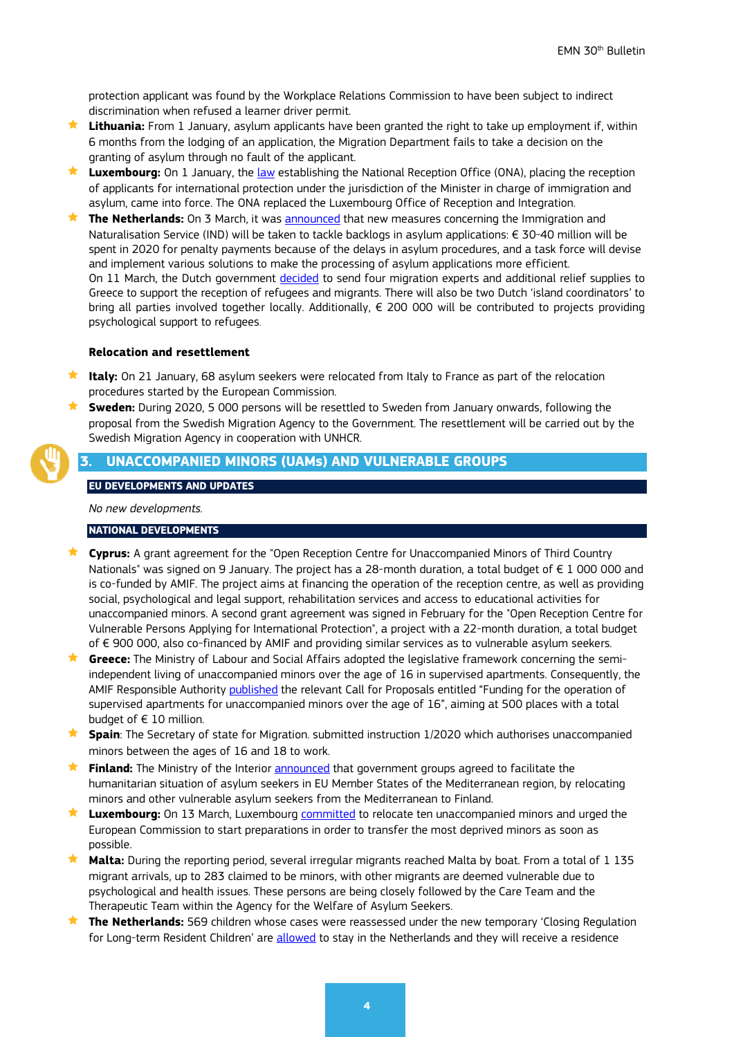protection applicant was found by the Workplace Relations Commission to have been subject to indirect discrimination when refused a learner driver permit.

- **Lithuania:** From 1 January, asylum applicants have been granted the right to take up employment if, within 6 months from the lodging of an application, the Migration Department fails to take a decision on the granting of asylum through no fault of the applicant.
- **★ Luxembourg:** On 1 January, the [law](http://legilux.public.lu/eli/etat/leg/loi/2019/12/04/a907/jo) establishing the National Reception Office (ONA), placing the reception of applicants for international protection under the jurisdiction of the Minister in charge of immigration and asylum, came into force. The ONA replaced the Luxembourg Office of Reception and Integration.
- **★ The Netherlands:** On 3 March, it was [announced](https://www.rijksoverheid.nl/ministeries/ministerie-van-justitie-en-veiligheid/documenten/kamerstukken/2020/03/03/tk-doorlooptijden-en-dwangsommen) that new measures concerning the Immigration and Naturalisation Service (IND) will be taken to tackle backlogs in asylum applications: € 30-40 million will be spent in 2020 for penalty payments because of the delays in asylum procedures, and a task force will devise and implement various solutions to make the processing of asylum applications more efficient. On 11 March, the Dutch government [decided](https://www.rijksoverheid.nl/actueel/nieuws/2020/03/11/nederland-intensiveert-migratiehulp-aan-griekenland) to send four migration experts and additional relief supplies to Greece to support the reception of refugees and migrants. There will also be two Dutch 'island coordinators' to bring all parties involved together locally. Additionally, € 200 000 will be contributed to projects providing psychological support to refugees.

#### **Relocation and resettlement**

- **★ Italy:** On 21 January, 68 asylum seekers were relocated from Italy to France as part of the relocation procedures started by the European Commission.
- **Sweden:** During 2020, 5 000 persons will be resettled to Sweden from January onwards, following the proposal from the Swedish Migration Agency to the Government. The resettlement will be carried out by the Swedish Migration Agency in cooperation with UNHCR.

## <span id="page-3-0"></span>**3. UNACCOMPANIED MINORS (UAMs) AND VULNERABLE GROUPS**

#### **EU DEVELOPMENTS AND UPDATES**

*No new developments.*

#### **NATIONAL DEVELOPMENTS**

- **Cyprus:** A grant agreement for the "Open Reception Centre for Unaccompanied Minors of Third Country Nationals" was signed on 9 January. The project has a 28-month duration, a total budget of € 1 000 000 and is co-funded by AMIF. The project aims at financing the operation of the reception centre, as well as providing social, psychological and legal support, rehabilitation services and access to educational activities for unaccompanied minors. A second grant agreement was signed in February for the "Open Reception Centre for Vulnerable Persons Applying for International Protection", a project with a 22-month duration, a total budget of € 900 000, also co-financed by AMIF and providing similar services as to vulnerable asylum seekers.
- **Greece:** The Ministry of Labour and Social Affairs adopted the legislative framework concerning the semiindependent living of unaccompanied minors over the age of 16 in supervised apartments. Consequently, the AMIF Responsible Authority published the relevant Call for Proposals entitled "Funding for the operation of supervised apartments for unaccompanied minors over the age of 16", aiming at 500 places with a total budget of  $\in$  10 million.
- **Spain:** The Secretary of state for Migration. submitted instruction 1/2020 which authorises unaccompanied minors between the ages of 16 and 18 to work.
- **Finland:** The Ministry of the Interior [announced](https://intermin.fi/en/article/-/asset_publisher/sisaministerio-valmistelee-alaikaisten-ja-muiden-haavoittuvassa-asemassa-olevien-turvapaikanhakijoiden-siirtoja-valimeren-alueelta) that government groups agreed to facilitate the humanitarian situation of asylum seekers in EU Member States of the Mediterranean region, by relocating minors and other vulnerable asylum seekers from the Mediterranean to Finland.
- ★ Luxembourg: On 13 March, Luxembourg [committed](https://gouvernement.lu/fr/actualites/toutes_actualites/communiques/2020/03-mars/13-asselborn-jai.html) to relocate ten unaccompanied minors and urged the European Commission to start preparations in order to transfer the most deprived minors as soon as possible.
- **Malta:** During the reporting period, several irregular migrants reached Malta by boat. From a total of 1 135 migrant arrivals, up to 283 claimed to be minors, with other migrants are deemed vulnerable due to psychological and health issues. These persons are being closely followed by the Care Team and the Therapeutic Team within the Agency for the Welfare of Asylum Seekers.
- **The Netherlands:** 569 children whose cases were reassessed under the new temporary 'Closing Regulation for Long-term Resident Children' are [allowed](https://www.rijksoverheid.nl/actueel/nieuws/2020/02/12/569-asielkinderen-mogen-alsnog-in-nederland-blijven) to stay in the Netherlands and they will receive a residence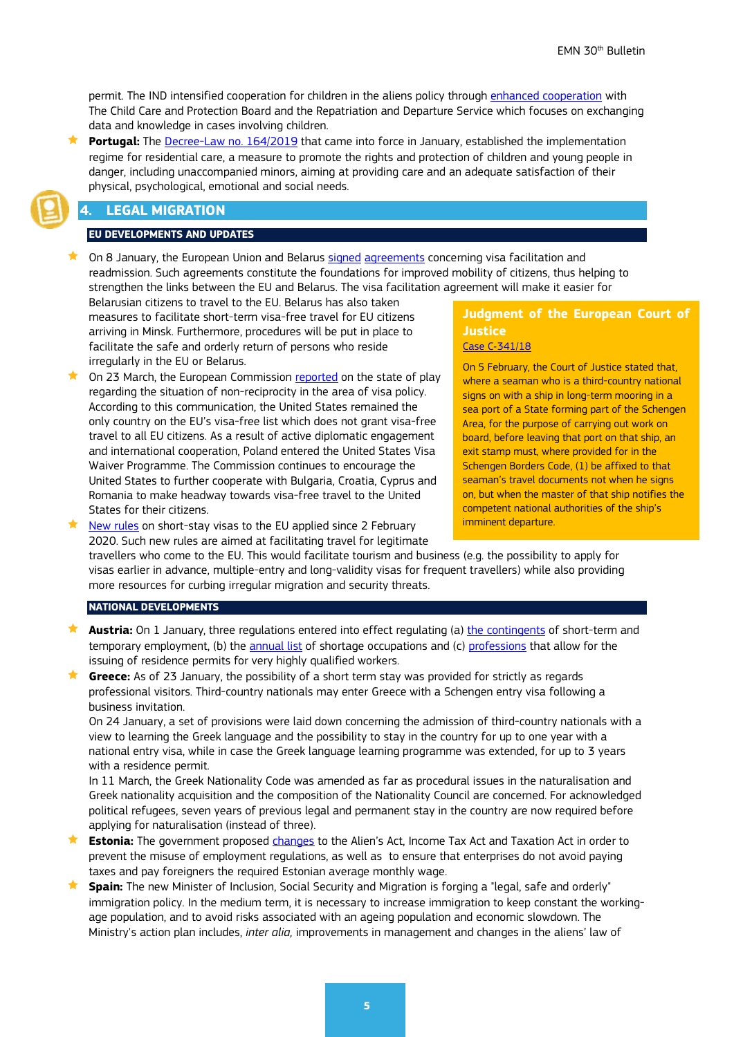permit. The IND intensified cooperation for children in the aliens policy through [enhanced cooperation](https://ind.nl/en/news/pages/rvdk,-ind-and-dtv-intensify-cooperation-for-children-in-the-aliens-policy.aspx) with The Child Care and Protection Board and the Repatriation and Departure Service which focuses on exchanging data and knowledge in cases involving children.

 **Portugal:** The [Decree-Law no. 164/2019](https://dre.pt/application/conteudo/125692191) that came into force in January, established the implementation regime for residential care, a measure to promote the rights and protection of children and young people in danger, including unaccompanied minors, aiming at providing care and an adequate satisfaction of their physical, psychological, emotional and social needs.

## <span id="page-4-0"></span>**4. LEGAL MIGRATION**

#### **EU DEVELOPMENTS AND UPDATES**

On 8 January, the European Union and Belarus [signed](https://ec.europa.eu/home-affairs/news/20200108_visa-facilitation-readmission-european-union-belarus-sign-agreements_en) [agreements](https://ec.europa.eu/home-affairs/news/20200108_visa-facilitation-readmission-european-union-belarus-sign-agreements_en) concerning visa facilitation and readmission. Such agreements constitute the foundations for improved mobility of citizens, thus helping to strengthen the links between the EU and Belarus. The visa facilitation agreement will make it easier for

Belarusian citizens to travel to the EU. Belarus has also taken measures to facilitate short-term visa-free travel for EU citizens arriving in Minsk. Furthermore, procedures will be put in place to facilitate the safe and orderly return of persons who reside irregularly in the EU or Belarus.

 On 23 March, the European Commission [reported](https://ec.europa.eu/home-affairs/sites/homeaffairs/files/what-we-do/policies/european-agenda-migration/20200323_com-2020-119-communication_en.pdf) on the state of play regarding the situation of non-reciprocity in the area of visa policy. According to this communication, the United States remained the only country on the EU's visa-free list which does not grant visa-free travel to all EU citizens. As a result of active diplomatic engagement and international cooperation, Poland entered the United States Visa Waiver Programme. The Commission continues to encourage the United States to further cooperate with Bulgaria, Croatia, Cyprus and Romania to make headway towards visa-free travel to the United States for their citizens.

[New rules](https://ec.europa.eu/home-affairs/news/20200203_new-rules-short-stay-visas-eu-modernised-procedure-updated-fees-link-readmission-cooperation_en) on short-stay visas to the EU applied since 2 February

### **Judgment of the European Court of Justice**  Case C‑[341/18](http://curia.europa.eu/juris/document/document.jsf?docid=223405&text=&dir=&doclang=EN&part=1&occ=first&mode=lst&pageIndex=1&cid=2846023)

On 5 February, the Court of Justice stated that, where a seaman who is a third-country national signs on with a ship in long-term mooring in a sea port of a State forming part of the Schengen Area, for the purpose of carrying out work on board, before leaving that port on that ship, an exit stamp must, where provided for in the Schengen Borders Code, (1) be affixed to that seaman's travel documents not when he signs on, but when the master of that ship notifies the competent national authorities of the ship's imminent departure.

2020. Such new rules are aimed at facilitating travel for legitimate travellers who come to the EU. This would facilitate tourism and business (e.g. the possibility to apply for visas earlier in advance, multiple-entry and long-validity visas for frequent travellers) while also providing more resources for curbing irregular migration and security threats.

#### **NATIONAL DEVELOPMENTS**

- **Austria:** On 1 January, three regulations entered into effect regulating (a) [the contingents](https://www.ris.bka.gv.at/Dokumente/BgblAuth/BGBLA_2019_II_407/BGBLA_2019_II_407.html) of short-term and temporary employment, (b) the [annual list](https://www.ris.bka.gv.at/Dokumente/BgblAuth/BGBLA_2019_II_421/BGBLA_2019_II_421.html) of shortage occupations and (c) [professions](https://www.ris.bka.gv.at/Dokumente/BgblAuth/BGBLA_2019_II_420/BGBLA_2019_II_420.html) that allow for the issuing of residence permits for very highly qualified workers.
- **Greece:** As of 23 January, the possibility of a short term stay was provided for strictly as regards professional visitors. Third-country nationals may enter Greece with a Schengen entry visa following a business invitation.

On 24 January, a set of provisions were laid down concerning the admission of third-country nationals with a view to learning the Greek language and the possibility to stay in the country for up to one year with a national entry visa, while in case the Greek language learning programme was extended, for up to 3 years with a residence permit.

In 11 March, the Greek Nationality Code was amended as far as procedural issues in the naturalisation and Greek nationality acquisition and the composition of the Nationality Council are concerned. For acknowledged political refugees, seven years of previous legal and permanent stay in the country are now required before applying for naturalisation (instead of three).

- **Estonia:** The government proposed [changes](https://www.riigikogu.ee/pressiteated/muu-pressiteade-et/menetlusse-voeti-eestis-tootamise-reeglite-vaarkasutuse-vahendamine-eelnou/) to the Alien's Act, Income Tax Act and Taxation Act in order to prevent the misuse of employment regulations, as well as to ensure that enterprises do not avoid paying taxes and pay foreigners the required Estonian average monthly wage.
- **Spain:** The new Minister of Inclusion, Social Security and Migration is forging a "legal, safe and orderly" immigration policy. In the medium term, it is necessary to increase immigration to keep constant the workingage population, and to avoid risks associated with an ageing population and economic slowdown. The Ministry's action plan includes, *inter alia,* improvements in management and changes in the aliens' law of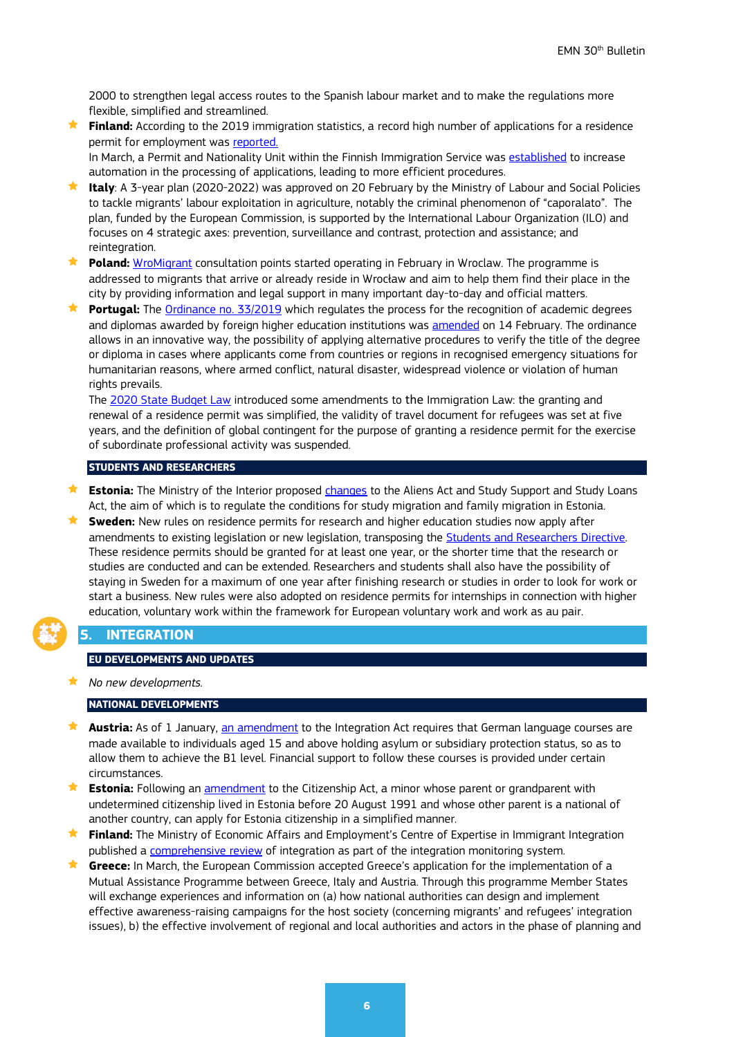2000 to strengthen legal access routes to the Spanish labour market and to make the regulations more flexible, simplified and streamlined.

 **Finland:** According to the 2019 immigration statistics, a record high number of applications for a residence permit for employment was [reported.](https://migri.fi/en/press-release/-/asset_publisher/maahanmuuton-tilastot-2019-oleskelulupaa-haki-ennatysmaara-tyontekijoita)

In March, a Permit and Nationality Unit within the Finnish Immigration Service was [established](https://migri.fi/en/press-release/-/asset_publisher/uusi-lupa-ja-kansalaisuusyksikko-aloittaa-1-3-2020-tavoite-on-hyodyntaa-automaatiota-hakemusten-kasittelyssa-nykyista-enemman) to increase automation in the processing of applications, leading to more efficient procedures.

- **Italy**: A 3-year plan (2020-2022) was approved on 20 February by the Ministry of Labour and Social Policies to tackle migrants' labour exploitation in agriculture, notably the criminal phenomenon of "caporalato". The plan, funded by the European Commission, is supported by the International Labour Organization (ILO) and focuses on 4 strategic axes: prevention, surveillance and contrast, protection and assistance; and reintegration.
- **Poland:** [WroMigrant](https://www.wielokultury.wroclaw.pl/wromigrant/?fbclid=IwAR1ZFUD1mPZ-vfFSC0Rdjb5XN5Nlj5GBkFK2RzjPc9wMRS7qJ5pitdJph_Y) consultation points started operating in February in Wroclaw. The programme is addressed to migrants that arrive or already reside in Wrocław and aim to help them find their place in the city by providing information and legal support in many important day-to-day and official matters.
- **★ Portugal:** The <u>Ordinance no. 33/2019</u> which regulates the process for the recognition of academic degrees and diplomas awarded by foreign higher education institutions was [amended](https://dre.pt/application/conteudo/129208007) on 14 February. The ordinance allows in an innovative way, the possibility of applying alternative procedures to verify the title of the degree or diploma in cases where applicants come from countries or regions in recognised emergency situations for humanitarian reasons, where armed conflict, natural disaster, widespread violence or violation of human rights prevails.

The [2020 State Budget Law](https://dre.pt/application/conteudo/130893436) introduced some amendments to the Immigration Law: the granting and renewal of a residence permit was simplified, the validity of travel document for refugees was set at five years, and the definition of global contingent for the purpose of granting a residence permit for the exercise of subordinate professional activity was suspended.

#### **STUDENTS AND RESEARCHERS**

- **Estonia:** The Ministry of the Interior proposed [changes](https://www.siseministeerium.ee/et/uudised/mart-helme-korrastame-opirannet-et-tagada-elamislubade-eesmargiparane-kasutamine) to the Aliens Act and Study Support and Study Loans Act, the aim of which is to regulate the conditions for study migration and family migration in Estonia.
- **Sweden:** New rules on residence permits for research and higher education studies now apply after amendments to existing legislation or new legislation, transposing the [Students and Researchers Directive.](https://eur-lex.europa.eu/eli/dir/2016/801/oj) These residence permits should be granted for at least one year, or the shorter time that the research or studies are conducted and can be extended. Researchers and students shall also have the possibility of staying in Sweden for a maximum of one year after finishing research or studies in order to look for work or start a business. New rules were also adopted on residence permits for internships in connection with higher education, voluntary work within the framework for European voluntary work and work as au pair.

#### <span id="page-5-0"></span>**5. INTEGRATION**

#### **EU DEVELOPMENTS AND UPDATES**

*No new developments.*

#### **NATIONAL DEVELOPMENTS**

- ★ **Austria:** As of 1 January, <u>an amendment</u> to the Integration Act requires that German language courses are made available to individuals aged 15 and above holding asylum or subsidiary protection status, so as to allow them to achieve the B1 level. Financial support to follow these courses is provided under certain circumstances.
- **Estonia:** Following an **[amendment](https://www.riigikogu.ee/istungi-ulevaated/riigikogu-lihtsustas-kodakondsuse-taotlemist-alaealistele/)** to the Citizenship Act, a minor whose parent or grandparent with undetermined citizenship lived in Estonia before 20 August 1991 and whose other parent is a national of another country, can apply for Estonia citizenship in a simplified manner.
- **Finland:** The Ministry of Economic Affairs and Employment's Centre of Expertise in Immigrant Integration published a [comprehensive review](https://kotouttaminen.fi/en/article/-/asset_publisher/kotoutumisen-kokonaiskatsaus-2019-kotoutuminen-on-moniulotteinen-kokonaisuus) of integration as part of the integration monitoring system.
- **Greece:** In March, the European Commission accepted Greece's application for the implementation of a Mutual Assistance Programme between Greece, Italy and Austria. Through this programme Member States will exchange experiences and information on (a) how national authorities can design and implement effective awareness-raising campaigns for the host society (concerning migrants' and refugees' integration issues), b) the effective involvement of regional and local authorities and actors in the phase of planning and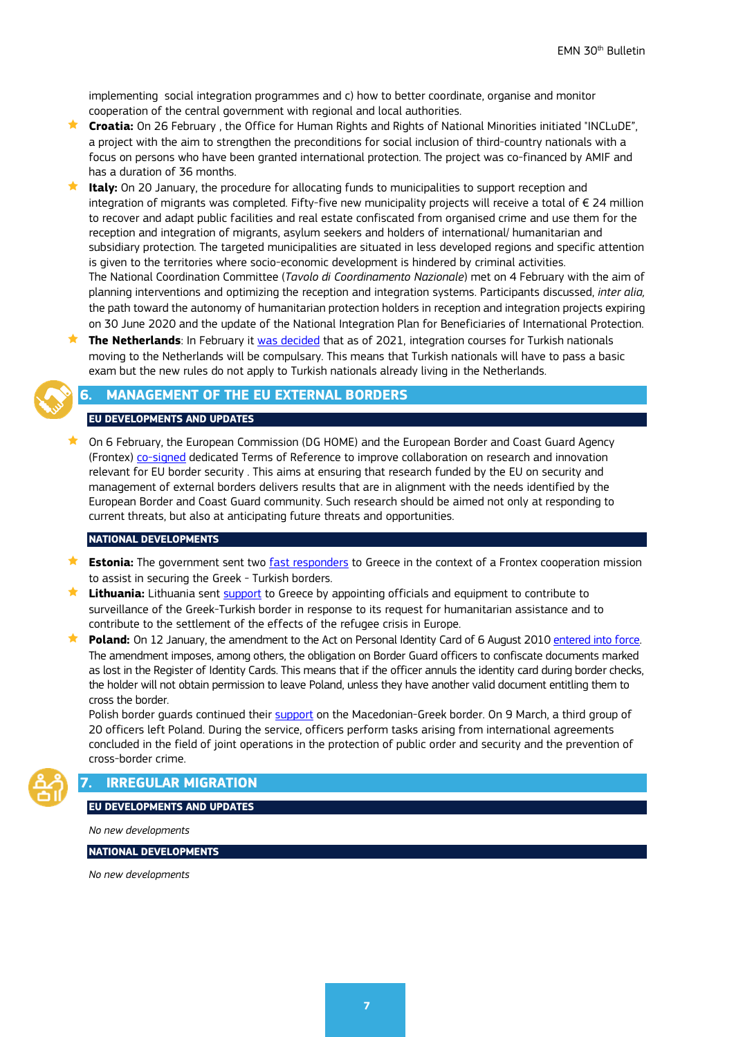implementing social integration programmes and c) how to better coordinate, organise and monitor cooperation of the central government with regional and local authorities.

- **Croatia:** On 26 February , the Office for Human Rights and Rights of National Minorities initiated "INCLuDE", a project with the aim to strengthen the preconditions for social inclusion of third-country nationals with a focus on persons who have been granted international protection. The project was co-financed by AMIF and has a duration of 36 months.
- **Italy:** On 20 January, the procedure for allocating funds to municipalities to support reception and integration of migrants was completed. Fifty-five new municipality projects will receive a total of € 24 million to recover and adapt public facilities and real estate confiscated from organised crime and use them for the reception and integration of migrants, asylum seekers and holders of international/ humanitarian and subsidiary protection. The targeted municipalities are situated in less developed regions and specific attention is given to the territories where socio-economic development is hindered by criminal activities. The National Coordination Committee (*Tavolo di Coordinamento Nazionale*) met on 4 February with the aim of planning interventions and optimizing the reception and integration systems. Participants discussed, *inter alia,*  the path toward the autonomy of humanitarian protection holders in reception and integration projects expiring on 30 June 2020 and the update of the National Integration Plan for Beneficiaries of International Protection.
- **The Netherlands**: In February it [was decided](https://www.rijksoverheid.nl/actueel/nieuws/2020/02/04/turkse-nieuwkomers-worden-inburgeringsplichtig) that as of 2021, integration courses for Turkish nationals moving to the Netherlands will be compulsary. This means that Turkish nationals will have to pass a basic exam but the new rules do not apply to Turkish nationals already living in the Netherlands.

## <span id="page-6-0"></span>**6. MANAGEMENT OF THE EU EXTERNAL BORDERS**

#### **EU DEVELOPMENTS AND UPDATES**

 $\star$  On 6 February, the European Commission (DG HOME) and the European Border and Coast Guard Agency (Frontex) [co-signed](https://ec.europa.eu/home-affairs/news/20200206_european-research-innovation-support-secure-efficient-eu-external-borders_en) dedicated Terms of Reference to improve collaboration on research and innovation relevant for EU border security . This aims at ensuring that research funded by the EU on security and management of external borders delivers results that are in alignment with the needs identified by the European Border and Coast Guard community. Such research should be aimed not only at responding to current threats, but also at anticipating future threats and opportunities.

#### **NATIONAL DEVELOPMENTS**

- **Estonia:** The government sent two [fast responders](https://www.postimees.ee/6918407/frontexi-kutsel-lahevad-kreekasse-kaks-eesti-kiirregeerijat) to Greece in the context of a Frontex cooperation mission to assist in securing the Greek - Turkish borders.
- **Lithuania:** Lithuania sent [support](file://icfi.icfconsulting.com/org/ea/jobs/PIP/DG%20HOME%20EMN%202018-2020/WS%20III/2.%20Strategy_Visibility%20and%20dissemination/2.%20Bulletin/30th/%EF%83%AA%09https:/lrv.lt/en/news/lithuania-sends-support-to-greece-to-deal-with-the-humanitarian-refugee-crisis) to Greece by appointing officials and equipment to contribute to surveillance of the Greek-Turkish border in response to its request for humanitarian assistance and to contribute to the settlement of the effects of the refugee crisis in Europe.
- **Poland:** On 12 January, the amendment to the Act on Personal Identity Card of 6 August 2010 entered into force. The amendment imposes, among others, the obligation on Border Guard officers to confiscate documents marked as lost in the Register of Identity Cards. This means that if the officer annuls the identity card during border checks, the holder will not obtain permission to leave Poland, unless they have another valid document entitling them to cross the border.

Polish border guards continued their [support](https://www.strazgraniczna.pl/pl/aktualnosci/8289,Misja-w-Macedonii-Polnocnej.html) on the Macedonian-Greek border. On 9 March, a third group of 20 officers left Poland. During the service, officers perform tasks arising from international agreements concluded in the field of joint operations in the protection of public order and security and the prevention of cross-border crime.

## <span id="page-6-1"></span>**7. IRREGULAR MIGRATION**

#### **EU DEVELOPMENTS AND UPDATES**

*No new developments*

**NATIONAL DEVELOPMENTS** 

*No new developments*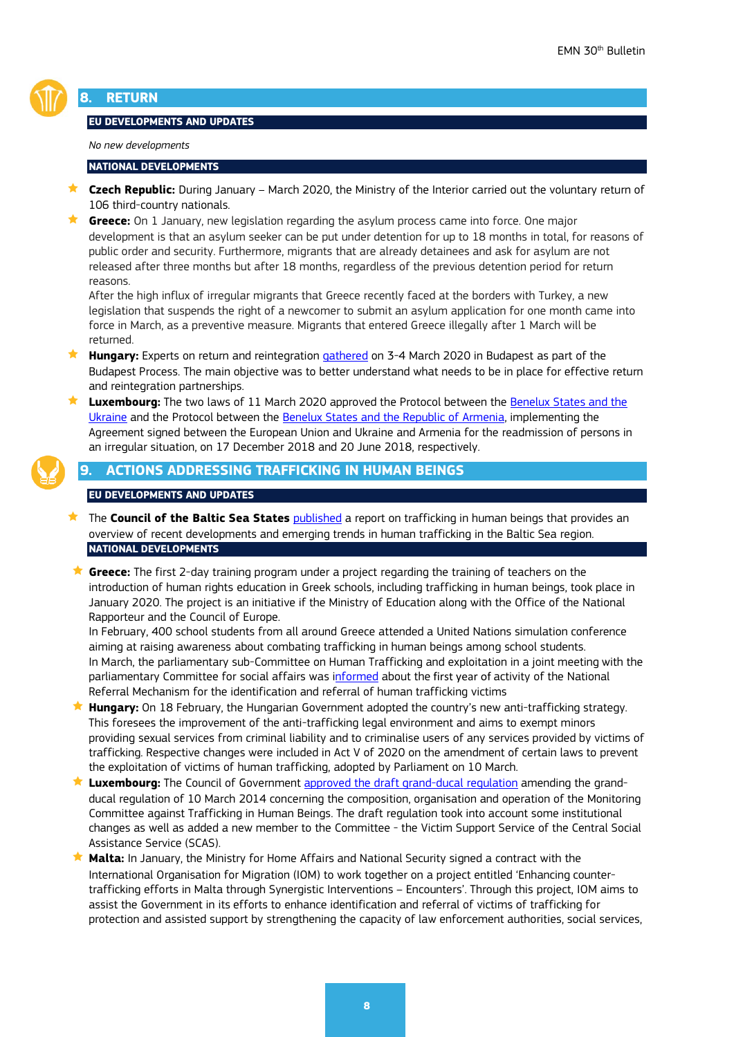

## <span id="page-7-0"></span>**8. RETURN**

#### **EU DEVELOPMENTS AND UPDATES**

*No new developments*

#### **NATIONAL DEVELOPMENTS**

- **★ Czech Republic:** During January March 2020, the Ministry of the Interior carried out the voluntary return of 106 third-country nationals.
- **Greece:** On 1 January, new legislation regarding the asylum process came into force. One major development is that an asylum seeker can be put under detention for up to 18 months in total, for reasons of public order and security. Furthermore, migrants that are already detainees and ask for asylum are not released after three months but after 18 months, regardless of the previous detention period for return reasons.

After the high influx of irregular migrants that Greece recently faced at the borders with Turkey, a new legislation that suspends the right of a newcomer to submit an asylum application for one month came into force in March, as a preventive measure. Migrants that entered Greece illegally after 1 March will be returned.

- **Hungary:** Experts on return and reintegration [gathered](https://www.budapestprocess.org/about/news/179-expert-thematic-meeting-on-return-and-reintegration) on 3-4 March 2020 in Budapest as part of the Budapest Process. The main objective was to better understand what needs to be in place for effective return and reintegration partnerships.
- **Luxembourg:** The two laws of 11 March 2020 approved the Protocol between the [Benelux States and the](https://www.chd.lu/wps/PA_RoleDesAffaires/FTSByteServingServletImpl?path=16C15DB3319C6B440DBFBF1F26F9FF16B88FA2B946CA4EE6902DC54F941CAB7EB8741AD6B0ACF99E7740847758AD936C$EB07340C63F04C2A137CACF5CEAE403B)  [Ukraine](https://www.chd.lu/wps/PA_RoleDesAffaires/FTSByteServingServletImpl?path=16C15DB3319C6B440DBFBF1F26F9FF16B88FA2B946CA4EE6902DC54F941CAB7EB8741AD6B0ACF99E7740847758AD936C$EB07340C63F04C2A137CACF5CEAE403B) and the Protocol between the [Benelux States and the Republic of Armenia,](https://www.chd.lu/wps/PA_RoleDesAffaires/FTSByteServingServletImpl?path=B3A160D79C4C7C55EB2935DADD3C987F87788C28398CD6E0CBB89F38A1D163AED724FD71EBE7DDDAB283FEF11338AEF5$F4229D36F54577603FEACC7AEC5142E6) implementing the Agreement signed between the European Union and Ukraine and Armenia for the readmission of persons in an irregular situation, on 17 December 2018 and 20 June 2018, respectively.



<span id="page-7-1"></span>**9. ACTIONS ADDRESSING TRAFFICKING IN HUMAN BEINGS**

#### **EU DEVELOPMENTS AND UPDATES**

- **★ The Council of the Baltic Sea States** [published](https://www.cbss.org/16611-2/) a report on trafficking in human beings that provides an overview of recent developments and emerging trends in human trafficking in the Baltic Sea region. **NATIONAL DEVELOPMENTS**
- ★ Greece: The first 2-day training program under a project regarding the training of teachers on the introduction of human rights education in Greek schools, including trafficking in human beings, took place in January 2020. The project is an initiative if the Ministry of Education along with the Office of the National Rapporteur and the Council of Europe.

In February, 400 school students from all around Greece attended a United Nations simulation conference aiming at raising awareness about combating trafficking in human beings among school students. In March, the parliamentary sub-Committee on Human Trafficking and exploitation in a joint meeting with the parliamentary Committee for social affairs was [informed](https://www.hellenicparliament.gr/Vouli-ton-Ellinon/ToKtirio/Fotografiko-Archeio/#cb788033-091a-49d0-89f4-ab7b00b3a256) about the first year of activity of the National Referral Mechanism for the identification and referral of human trafficking victims

- ★ Hungary: On 18 February, the Hungarian Government adopted the country's new anti-trafficking strategy. This foresees the improvement of the anti-trafficking legal environment and aims to exempt minors providing sexual services from criminal liability and to criminalise users of any services provided by victims of trafficking. Respective changes were included in Act V of 2020 on the amendment of certain laws to prevent the exploitation of victims of human trafficking, adopted by Parliament on 10 March.
- **Luxembourg:** The Council of Government [approved the draft grand-ducal regulation](https://gouvernement.lu/fr/actualites/toutes_actualites/communiques/2020/02-fevrier/07-conseil-gouvernement.html) amending the grandducal regulation of 10 March 2014 concerning the composition, organisation and operation of the Monitoring Committee against Trafficking in Human Beings. The draft regulation took into account some institutional changes as well as added a new member to the Committee - the Victim Support Service of the Central Social Assistance Service (SCAS).
- **Malta:** In January, the Ministry for Home Affairs and National Security signed a contract with the International Organisation for Migration (IOM) to work together on a project entitled 'Enhancing countertrafficking efforts in Malta through Synergistic Interventions – Encounters'. Through this project, IOM aims to assist the Government in its efforts to enhance identification and referral of victims of trafficking for protection and assisted support by strengthening the capacity of law enforcement authorities, social services,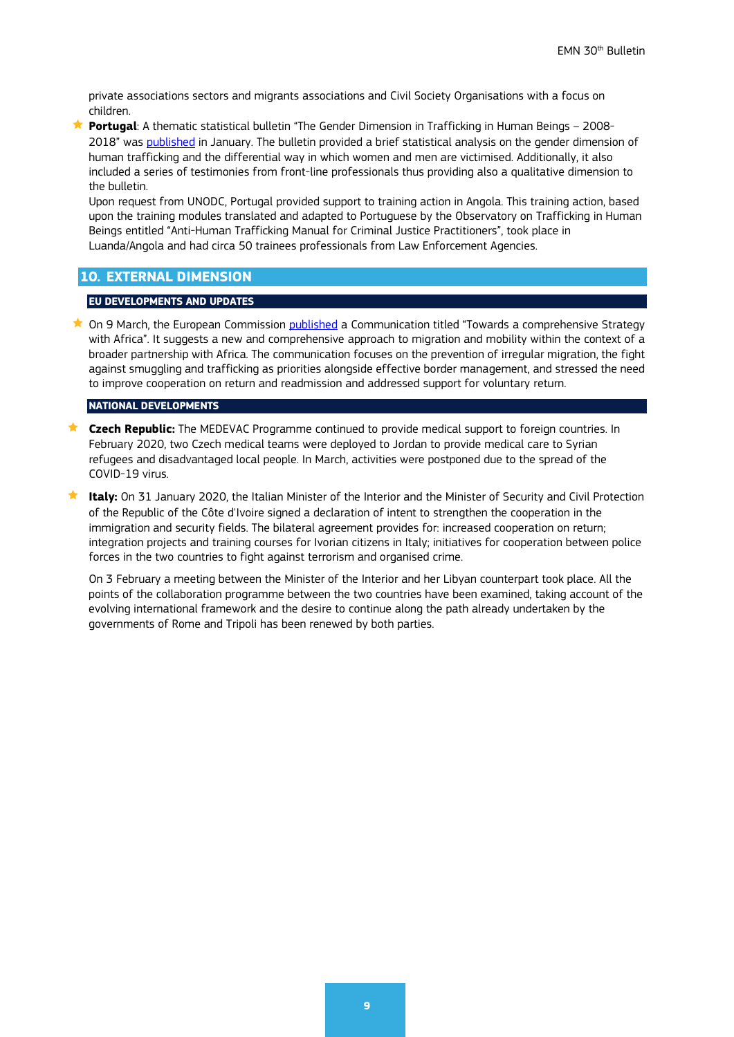private associations sectors and migrants associations and Civil Society Organisations with a focus on children.

 **Portugal**: A thematic statistical bulletin "The Gender Dimension in Trafficking in Human Beings – 2008- 2018" was published in January. The bulletin provided a brief statistical analysis on the gender dimension of human trafficking and the differential way in which women and men are victimised. Additionally, it also included a series of testimonies from front-line professionals thus providing also a qualitative dimension to the bulletin.

Upon request from UNODC, Portugal provided support to training action in Angola. This training action, based upon the training modules translated and adapted to Portuguese by the Observatory on Trafficking in Human Beings entitled "Anti-Human Trafficking Manual for Criminal Justice Practitioners", took place in Luanda/Angola and had circa 50 trainees professionals from Law Enforcement Agencies.

## <span id="page-8-0"></span>**10. EXTERNAL DIMENSION**

#### **EU DEVELOPMENTS AND UPDATES**

★ On 9 March, the European Commission [published](https://ec.europa.eu/commission/presscorner/detail/en/FS_20_374) a Communication titled "Towards a comprehensive Strategy with Africa". It suggests a new and comprehensive approach to migration and mobility within the context of a broader partnership with Africa. The communication focuses on the prevention of irregular migration, the fight against smuggling and trafficking as priorities alongside effective border management, and stressed the need to improve cooperation on return and readmission and addressed support for voluntary return.

#### **NATIONAL DEVELOPMENTS**

- **Czech Republic:** The MEDEVAC Programme continued to provide medical support to foreign countries. In February 2020, two Czech medical teams were deployed to Jordan to provide medical care to Syrian refugees and disadvantaged local people. In March, activities were postponed due to the spread of the COVID-19 virus.
- **★ Italy:** On 31 January 2020, the Italian Minister of the Interior and the Minister of Security and Civil Protection of the Republic of the Côte d'Ivoire signed a declaration of intent to strengthen the cooperation in the immigration and security fields. The bilateral agreement provides for: increased cooperation on return; integration projects and training courses for Ivorian citizens in Italy; initiatives for cooperation between police forces in the two countries to fight against terrorism and organised crime.

On 3 February a meeting between the Minister of the Interior and her Libyan counterpart took place. All the points of the collaboration programme between the two countries have been examined, taking account of the evolving international framework and the desire to continue along the path already undertaken by the governments of Rome and Tripoli has been renewed by both parties.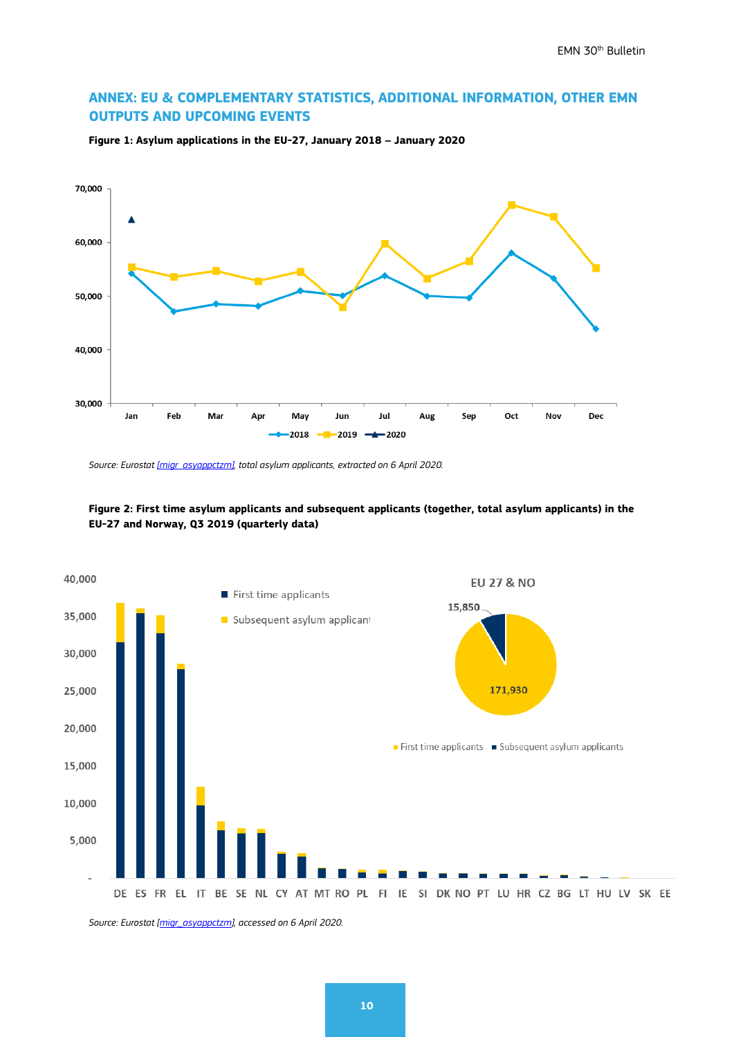## <span id="page-9-0"></span>**ANNEX: EU & COMPLEMENTARY STATISTICS, ADDITIONAL INFORMATION, OTHER EMN OUTPUTS AND UPCOMING EVENTS**



**Figure 1: Asylum applications in the EU-27, January 2018 – January 2020**

*Source: Eurosta[t \[migr\\_asyappctzm\],](http://appsso.eurostat.ec.europa.eu/nui/show.do?dataset=migr_asyappctzm&lang=en) total asylum applicants, extracted on 6 April 2020.*





*Source: Eurostat [\[migr\\_asyappctzm\],](http://appsso.eurostat.ec.europa.eu/nui/show.do?dataset=migr_asyappctzm&lang=en) accessed on 6 April 2020.*